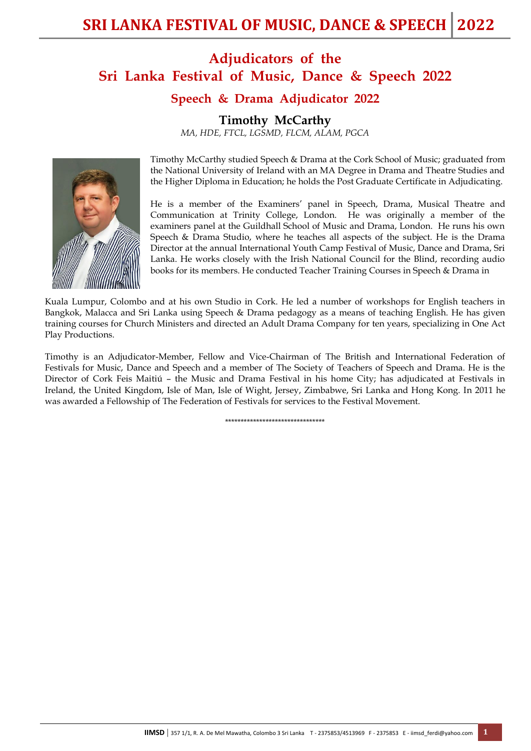# **Adjudicators of the Sri Lanka Festival of Music, Dance & Speech 2022**

## **Speech & Drama Adjudicator 2022**

**Timothy McCarthy**

*MA, HDE, FTCL, LGSMD, FLCM, ALAM, PGCA*



Timothy McCarthy studied Speech & Drama at the Cork School of Music; graduated from the National University of Ireland with an MA Degree in Drama and Theatre Studies and the Higher Diploma in Education; he holds the Post Graduate Certificate in Adjudicating.

He is a member of the Examiners' panel in Speech, Drama, Musical Theatre and Communication at Trinity College, London. He was originally a member of the examiners panel at the Guildhall School of Music and Drama, London. He runs his own Speech & Drama Studio, where he teaches all aspects of the subject. He is the Drama Director at the annual International Youth Camp Festival of Music, Dance and Drama, Sri Lanka. He works closely with the Irish National Council for the Blind, recording audio books for its members. He conducted Teacher Training Courses in Speech & Drama in

Kuala Lumpur, Colombo and at his own Studio in Cork. He led a number of workshops for English teachers in Bangkok, Malacca and Sri Lanka using Speech & Drama pedagogy as a means of teaching English. He has given training courses for Church Ministers and directed an Adult Drama Company for ten years, specializing in One Act Play Productions.

Timothy is an Adjudicator-Member, Fellow and Vice-Chairman of The British and International Federation of Festivals for Music, Dance and Speech and a member of The Society of Teachers of Speech and Drama. He is the Director of Cork Feis Maitiú – the Music and Drama Festival in his home City; has adjudicated at Festivals in Ireland, the United Kingdom, Isle of Man, Isle of Wight, Jersey, Zimbabwe, Sri Lanka and Hong Kong. In 2011 he was awarded a Fellowship of The Federation of Festivals for services to the Festival Movement.

\*\*\*\*\*\*\*\*\*\*\*\*\*\*\*\*\*\*\*\*\*\*\*\*\*\*\*\*\*\*\*\*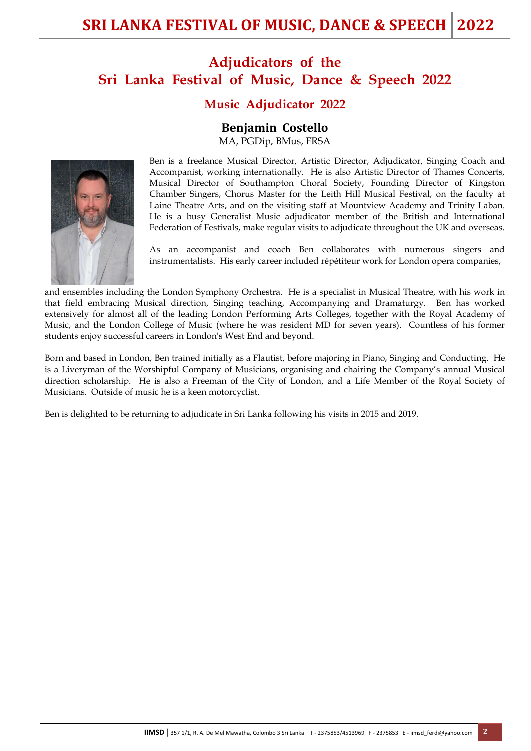# **Adjudicators of the Sri Lanka Festival of Music, Dance & Speech 2022**

## **Music Adjudicator 2022**

#### **Benjamin Costello**

MA, PGDip, BMus, FRSA



Ben is a freelance Musical Director, Artistic Director, Adjudicator, Singing Coach and Accompanist, working internationally. He is also Artistic Director of Thames Concerts, Musical Director of Southampton Choral Society, Founding Director of Kingston Chamber Singers, Chorus Master for the Leith Hill Musical Festival, on the faculty at Laine Theatre Arts, and on the visiting staff at Mountview Academy and Trinity Laban. He is a busy Generalist Music adjudicator member of the British and International Federation of Festivals, make regular visits to adjudicate throughout the UK and overseas.

As an accompanist and coach Ben collaborates with numerous singers and instrumentalists. His early career included répétiteur work for London opera companies,

and ensembles including the London Symphony Orchestra. He is a specialist in Musical Theatre, with his work in that field embracing Musical direction, Singing teaching, Accompanying and Dramaturgy. Ben has worked extensively for almost all of the leading London Performing Arts Colleges, together with the Royal Academy of Music, and the London College of Music (where he was resident MD for seven years). Countless of his former students enjoy successful careers in London's West End and beyond.

Born and based in London, Ben trained initially as a Flautist, before majoring in Piano, Singing and Conducting. He is a Liveryman of the Worshipful Company of Musicians, organising and chairing the Company's annual Musical direction scholarship. He is also a Freeman of the City of London, and a Life Member of the Royal Society of Musicians. Outside of music he is a keen motorcyclist.

Ben is delighted to be returning to adjudicate in Sri Lanka following his visits in 2015 and 2019.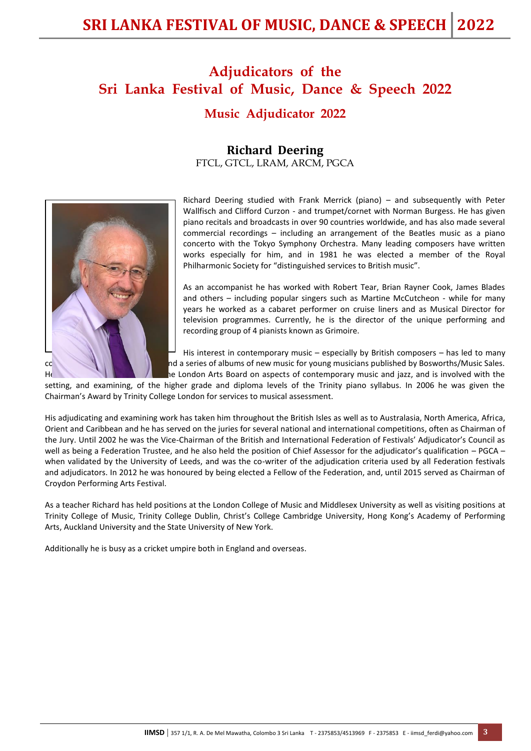# **SRI LANKA FESTIVAL OF MUSIC, DANCE & SPEECH 2022**

# **Adjudicators of the Sri Lanka Festival of Music, Dance & Speech 2022 Music Adjudicator 2022**

#### **Richard Deering** FTCL, GTCL, LRAM, ARCM, PGCA



Richard Deering studied with Frank Merrick (piano) – and subsequently with Peter Wallfisch and Clifford Curzon - and trumpet/cornet with Norman Burgess. He has given piano recitals and broadcasts in over 90 countries worldwide, and has also made several commercial recordings – including an arrangement of the Beatles music as a piano concerto with the Tokyo Symphony Orchestra. Many leading composers have written works especially for him, and in 1981 he was elected a member of the Royal Philharmonic Society for "distinguished services to British music".

As an accompanist he has worked with Robert Tear, Brian Rayner Cook, James Blades and others – including popular singers such as Martine McCutcheon - while for many years he worked as a cabaret performer on cruise liners and as Musical Director for television programmes. Currently, he is the director of the unique performing and recording group of 4 pianists known as Grimoire.

His interest in contemporary music – especially by British composers – has led to many commissioned magazine articles are not a series of albums of new music for young musicians published by Bosworths/Music Sales. He has also been also been an Advisor to the London Arts Board on aspects of contemporary music and jazz, and is involved with the

setting, and examining, of the higher grade and diploma levels of the Trinity piano syllabus. In 2006 he was given the Chairman's Award by Trinity College London for services to musical assessment.

His adjudicating and examining work has taken him throughout the British Isles as well as to Australasia, North America, Africa, Orient and Caribbean and he has served on the juries for several national and international competitions, often as Chairman of the Jury. Until 2002 he was the Vice-Chairman of the British and International Federation of Festivals' Adjudicator's Council as well as being a Federation Trustee, and he also held the position of Chief Assessor for the adjudicator's qualification – PGCA – when validated by the University of Leeds, and was the co-writer of the adjudication criteria used by all Federation festivals and adjudicators. In 2012 he was honoured by being elected a Fellow of the Federation, and, until 2015 served as Chairman of Croydon Performing Arts Festival.

As a teacher Richard has held positions at the London College of Music and Middlesex University as well as visiting positions at Trinity College of Music, Trinity College Dublin, Christ's College Cambridge University, Hong Kong's Academy of Performing Arts, Auckland University and the State University of New York.

Additionally he is busy as a cricket umpire both in England and overseas.